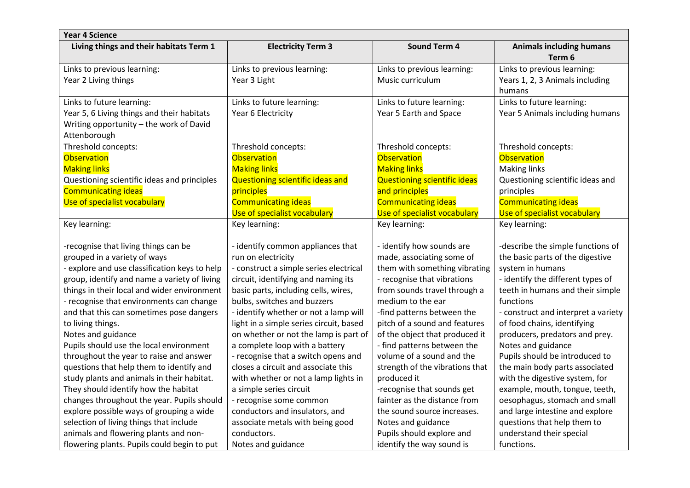| <b>Year 4 Science</b>                         |                                         |                                                          |                                           |  |  |  |
|-----------------------------------------------|-----------------------------------------|----------------------------------------------------------|-------------------------------------------|--|--|--|
| Living things and their habitats Term 1       | <b>Electricity Term 3</b>               | <b>Sound Term 4</b>                                      | <b>Animals including humans</b><br>Term 6 |  |  |  |
| Links to previous learning:                   | Links to previous learning:             | Links to previous learning:                              | Links to previous learning:               |  |  |  |
| Year 2 Living things                          | Year 3 Light                            | Music curriculum                                         | Years 1, 2, 3 Animals including           |  |  |  |
|                                               |                                         |                                                          | humans                                    |  |  |  |
| Links to future learning:                     | Links to future learning:               | Links to future learning:                                | Links to future learning:                 |  |  |  |
| Year 5, 6 Living things and their habitats    | Year 6 Electricity                      | Year 5 Earth and Space                                   | Year 5 Animals including humans           |  |  |  |
| Writing opportunity - the work of David       |                                         |                                                          |                                           |  |  |  |
| Attenborough                                  |                                         |                                                          |                                           |  |  |  |
| Threshold concepts:                           | Threshold concepts:                     | Threshold concepts:                                      | Threshold concepts:                       |  |  |  |
| Observation                                   | Observation                             | Observation                                              | Observation                               |  |  |  |
| <b>Making links</b>                           | <b>Making links</b>                     | <b>Making links</b>                                      | <b>Making links</b>                       |  |  |  |
| Questioning scientific ideas and principles   | Questioning scientific ideas and        | Questioning scientific ideas                             | Questioning scientific ideas and          |  |  |  |
| <b>Communicating ideas</b>                    | principles                              | and principles                                           | principles                                |  |  |  |
| Use of specialist vocabulary                  | <b>Communicating ideas</b>              | <b>Communicating ideas</b>                               | <b>Communicating ideas</b>                |  |  |  |
|                                               | Use of specialist vocabulary            | Use of specialist vocabulary                             | Use of specialist vocabulary              |  |  |  |
| Key learning:                                 | Key learning:                           | Key learning:                                            | Key learning:                             |  |  |  |
|                                               |                                         |                                                          |                                           |  |  |  |
| -recognise that living things can be          | - identify common appliances that       | - identify how sounds are                                | -describe the simple functions of         |  |  |  |
| grouped in a variety of ways                  | run on electricity                      | made, associating some of                                | the basic parts of the digestive          |  |  |  |
| - explore and use classification keys to help | - construct a simple series electrical  | them with something vibrating                            | system in humans                          |  |  |  |
| group, identify and name a variety of living  | circuit, identifying and naming its     | - recognise that vibrations                              | - identify the different types of         |  |  |  |
| things in their local and wider environment   | basic parts, including cells, wires,    | from sounds travel through a                             | teeth in humans and their simple          |  |  |  |
| - recognise that environments can change      | bulbs, switches and buzzers             | medium to the ear                                        | functions                                 |  |  |  |
| and that this can sometimes pose dangers      | - identify whether or not a lamp will   | -find patterns between the                               | - construct and interpret a variety       |  |  |  |
| to living things.                             | light in a simple series circuit, based | pitch of a sound and features                            | of food chains, identifying               |  |  |  |
| Notes and guidance                            | on whether or not the lamp is part of   | of the object that produced it                           | producers, predators and prey.            |  |  |  |
| Pupils should use the local environment       | a complete loop with a battery          | - find patterns between the<br>volume of a sound and the | Notes and guidance                        |  |  |  |
| throughout the year to raise and answer       | - recognise that a switch opens and     |                                                          | Pupils should be introduced to            |  |  |  |
| questions that help them to identify and      | closes a circuit and associate this     | strength of the vibrations that                          | the main body parts associated            |  |  |  |
| study plants and animals in their habitat.    | with whether or not a lamp lights in    | produced it                                              | with the digestive system, for            |  |  |  |
| They should identify how the habitat          | a simple series circuit                 | -recognise that sounds get                               | example, mouth, tongue, teeth,            |  |  |  |
| changes throughout the year. Pupils should    | - recognise some common                 | fainter as the distance from                             | oesophagus, stomach and small             |  |  |  |
| explore possible ways of grouping a wide      | conductors and insulators, and          | the sound source increases.                              | and large intestine and explore           |  |  |  |
| selection of living things that include       | associate metals with being good        | Notes and guidance                                       | questions that help them to               |  |  |  |
| animals and flowering plants and non-         | conductors.                             | Pupils should explore and                                | understand their special                  |  |  |  |
| flowering plants. Pupils could begin to put   | Notes and guidance                      | identify the way sound is                                | functions.                                |  |  |  |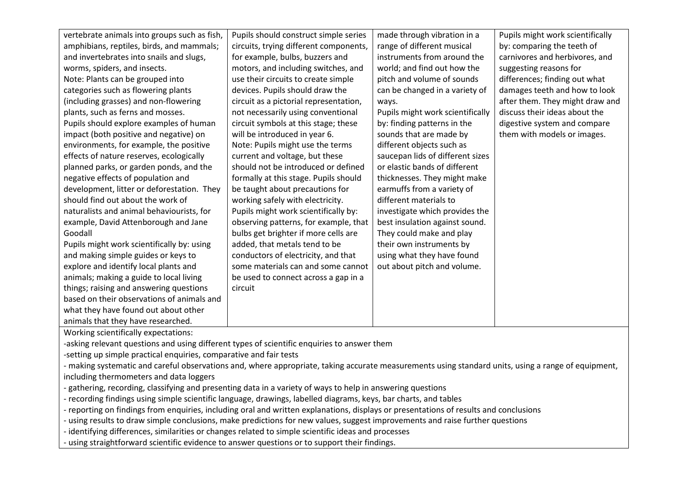| vertebrate animals into groups such as fish, | Pupils should construct simple series  | made through vibration in a      | Pupils might work scientifically |
|----------------------------------------------|----------------------------------------|----------------------------------|----------------------------------|
| amphibians, reptiles, birds, and mammals;    | circuits, trying different components, | range of different musical       | by: comparing the teeth of       |
| and invertebrates into snails and slugs,     | for example, bulbs, buzzers and        | instruments from around the      | carnivores and herbivores, and   |
| worms, spiders, and insects.                 | motors, and including switches, and    | world; and find out how the      | suggesting reasons for           |
| Note: Plants can be grouped into             | use their circuits to create simple    | pitch and volume of sounds       | differences; finding out what    |
| categories such as flowering plants          | devices. Pupils should draw the        | can be changed in a variety of   | damages teeth and how to look    |
| (including grasses) and non-flowering        | circuit as a pictorial representation, | ways.                            | after them. They might draw and  |
| plants, such as ferns and mosses.            | not necessarily using conventional     | Pupils might work scientifically | discuss their ideas about the    |
| Pupils should explore examples of human      | circuit symbols at this stage; these   | by: finding patterns in the      | digestive system and compare     |
| impact (both positive and negative) on       | will be introduced in year 6.          | sounds that are made by          | them with models or images.      |
| environments, for example, the positive      | Note: Pupils might use the terms       | different objects such as        |                                  |
| effects of nature reserves, ecologically     | current and voltage, but these         | saucepan lids of different sizes |                                  |
| planned parks, or garden ponds, and the      | should not be introduced or defined    | or elastic bands of different    |                                  |
| negative effects of population and           | formally at this stage. Pupils should  | thicknesses. They might make     |                                  |
| development, litter or deforestation. They   | be taught about precautions for        | earmuffs from a variety of       |                                  |
| should find out about the work of            | working safely with electricity.       | different materials to           |                                  |
| naturalists and animal behaviourists, for    | Pupils might work scientifically by:   | investigate which provides the   |                                  |
| example, David Attenborough and Jane         | observing patterns, for example, that  | best insulation against sound.   |                                  |
| Goodall                                      | bulbs get brighter if more cells are   | They could make and play         |                                  |
| Pupils might work scientifically by: using   | added, that metals tend to be          | their own instruments by         |                                  |
| and making simple guides or keys to          | conductors of electricity, and that    | using what they have found       |                                  |
| explore and identify local plants and        | some materials can and some cannot     | out about pitch and volume.      |                                  |
| animals; making a guide to local living      | be used to connect across a gap in a   |                                  |                                  |
| things; raising and answering questions      | circuit                                |                                  |                                  |
| based on their observations of animals and   |                                        |                                  |                                  |
| what they have found out about other         |                                        |                                  |                                  |
| animals that they have researched.           |                                        |                                  |                                  |

Working scientifically expectations:

-asking relevant questions and using different types of scientific enquiries to answer them

-setting up simple practical enquiries, comparative and fair tests

- making systematic and careful observations and, where appropriate, taking accurate measurements using standard units, using a range of equipment, including thermometers and data loggers

- gathering, recording, classifying and presenting data in a variety of ways to help in answering questions

- recording findings using simple scientific language, drawings, labelled diagrams, keys, bar charts, and tables

- reporting on findings from enquiries, including oral and written explanations, displays or presentations of results and conclusions

- using results to draw simple conclusions, make predictions for new values, suggest improvements and raise further questions

- identifying differences, similarities or changes related to simple scientific ideas and processes

- using straightforward scientific evidence to answer questions or to support their findings.